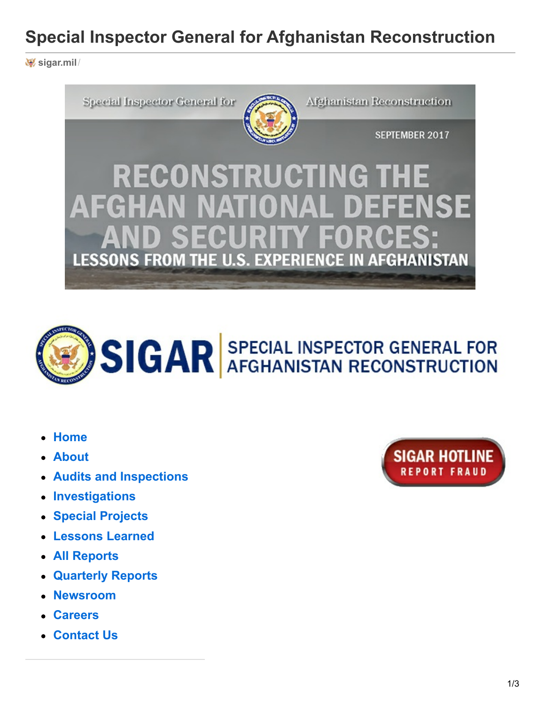# **Special Inspector General for Afghanistan Reconstruction**

**[sigar.mil](https://www.sigar.mil/)**/





- **[Home](https://www.sigar.mil/)**
- **[About](https://www.sigar.mil/about/index.aspx?SSR=1)**
- **Audits and [Inspections](https://www.sigar.mil/audits/index.aspx?SSR=2)**
- **[Investigations](https://www.sigar.mil/investigations/index.aspx?SSR=3)**
- **Special [Projects](https://www.sigar.mil/specialprojects/index.aspx?SSR=4)**
- **[Lessons](https://www.sigar.mil/lessonslearned/index.aspx?SSR=11) Learned**
- **All [Reports](https://www.sigar.mil/allreports/index.aspx?SSR=5)**
- **[Quarterly](https://www.sigar.mil/quarterlyreports/index.aspx?SSR=6) Reports**  $\bullet$
- **[Newsroom](https://www.sigar.mil/newsroom/index.aspx?SSR=7)**
- **[Careers](https://www.sigar.mil/careers/index.aspx?SSR=8)**
- **[Contact](https://www.sigar.mil/contact/index.aspx?SSR=9) Us**

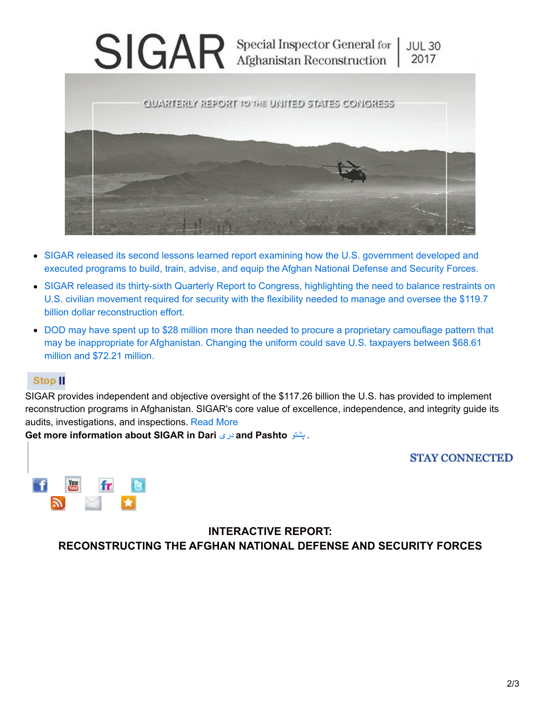

- SIGAR released its second lessons learned report examining how the U.S. [government](https://www.sigar.mil/pdf/lessonslearned/SIGAR-17-62-LL.pdf) developed and executed programs to build, train, advise, and equip the Afghan National Defense and Security Forces.
- SIGAR released its thirty-sixth Quarterly Report to Congress, highlighting the need to balance restraints on U.S. civilian movement required for security with the flexibility needed to manage and oversee the \$119.7 billion dollar [reconstruction](https://www.sigar.mil/pdf/quarterlyreports/2017-07-30qr.pdf) effort.
- DOD may have spent up to \$28 million more than needed to procure a proprietary camouflage pattern that may be [inappropriate](https://www.sigar.mil/pdf/special projects/SIGAR-17-48-SP.pdf) for Afghanistan. Changing the uniform could save U.S. taxpayers between \$68.61 million and \$72.21 million.

#### **Stop II**

SIGAR provides independent and objective oversight of the \$117.26 billion the U.S. has provided to implement reconstruction programs in Afghanistan. SIGAR's core value of excellence, independence, and integrity guide its audits, investigations, and inspections. [Read](https://www.sigar.mil/about/index.aspx?SSR=1) More

**Get more information about SIGAR in Dari** [دری](https://www.sigar.mil/quarterlyreports/dari/index.aspx?SSR=6&SubSSR=26&WP=Overview in Dari) **and Pashto** [پشتو](https://www.sigar.mil/quarterlyreports/pashto/index.aspx?SSR=6&SubSSR=27&WP=Overview in Pashto) .

#### **STAY CONNECTED**



**INTERACTIVE REPORT: RECONSTRUCTING THE AFGHAN NATIONAL DEFENSE AND SECURITY FORCES**